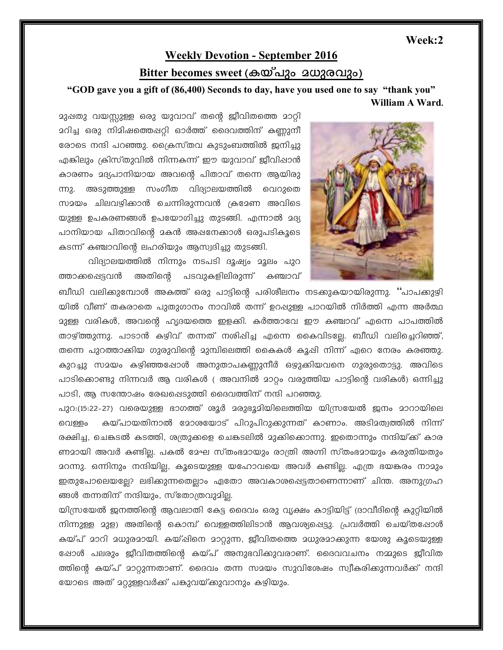## **Week:2**

## **Weekly Devotion - September 2016 Bitter becomes sweet** (കയ്പും മധുരവും)

**"GOD gave you a gift of (86,400) Seconds to day, have you used one to say "thank you" William A Ward.**



23ഷതു വയസ്സുള്ള ഒരു യുവാവ് തന്റെ ജീവിതത്തെ 2ാറ്റി മറിച്ച ഒരു നിമിഷത്തെപ്പറ്റി ഓർത്ത് ദൈവത്തിന് കണ്ണുനീ രോടെ നന്ദി പറഞ്ഞു. ക്രൈസ്തവ കുടുംബത്തിൽ ജനിച്ചു എങ്കിലും ക്രിസ്തുവിൽ നിന്നകന്ന് ഈ യുവാവ് ജീവിഷാൻ കാരണം മദ്യപാനിയായ അവന്റെ പിതാവ് തന്നെ ആയിരു ന്നു. അടുത്തുള്ള സംഗീത വിദ്യാലയത്തിൽ വെറുതെ സമയം ചിലവഴിക്കാൻ ചെന്നിരുന്നവൻ ക്രമേണ അവിടെ യുള്ള ഉപകരണങ്ങൾ ഉപയോഗിച്ചു തുടങ്ങി. എന്നാൽ മദ്യ പാനിയായ പിതാവിന്റെ മകൻ അഷനേക്കാൾ ഒരുപടികൂടെ കടന്ന് കഞ്ചാവിന്റെ ലഹരിയും ആസ്വദിച്ചു തുടങ്ങി.

വിദ്യാലയത്തിൽ നിന്നും നടപടി ദൂഷ്യം മൂലം പുറ ത്താക്കഷെട്ടവൻ അതിന്റെ പടവുകളിലിരുന്ന് കഞ്ചാവ്

ബീഡി വലിക്കുമ്പോൾ അകത്ത് ഒരു പാട്ടിന്റെ പരിശീലനം നടക്കുകയായിരുന്നു. ''പാപക്കുഴി യിൽ വീണ് തകരാതെ പുതുഗാനം നാവിൽ തന്ന് ഉറപ്പുള്ള പാറയിൽ നിർത്തി എന്ന അർത്ഥ ദുള്ള വരികൾ, അവന്റെ ഹൃദയത്തെ ഇളക്കി. കർത്താവേ ഈ കഞ്ചാവ് എന്നെ പാപത്തിൽ താഴ്ത്തുന്നു. പാടാൻ കഴിവ് തന്നത് നശിഷിച്ച എന്നെ കൈവിടല്ലേ. ബീഡി വലിച്ചെറിഞ്ഞ്, തന്നെ പുറത്താക്കിയ ഗുരുവിന്റെ മുമ്പിലെത്തി കൈകൾ കൂപ്പി നിന്ന് ഏറെ നേരം കരഞ്ഞു. കുറച്ചു സമയം കഴിഞ്ഞപ്പോൾ അനുതാപകണ്ണുനീർ ഒഴുക്കിയവനെ ഗുരുതൊട്ടു. അവിടെ പാടികൊണ്ടു നിന്നവർ ആ വരികൾ ( അവനിൽ മാറ്റം വരുത്തിയ പാട്ടിന്റെ വരികൾ) ഒന്നിച്ചു പാടി, ആ സന്തോഷം രേഖപ്പെടുത്തി ദൈവത്തിന് നന്ദി പറഞ്ഞു.

പുറ:(15:22-27) വരെയുള്ള ഭാഗത്ത് ശൂർ മരുഭൂദിയിലെത്തിയ യിസ്രയേൽ ജനം മാറായിലെ വെള്ളം കയ്പായതിനാൽ മോശയോട് പിറുപിറുകുന്നത് കാണാം. അടിമത്വത്തിൽ നിന്ന് രക്ഷിച്ച, ചെങ്കടൽ കടത്തി, ശത്രുക്കളെ ചെങ്കടലിൽ മുക്കികൊന്നു. ഇതൊന്നും നന്ദിയ്ക്ക് കാര ണമായി അവർ കണ്ടില്ല. പകൽ മേഘ സ്തംഭമായും രാത്രി അഗ്നി സ്തംഭമായും കരുതിയതും ഛന്നു. ഒന്നിനും നന്ദിയില്ല, കൂടെയുള്ള യഹോവയെ അവർ കണ്ടില്ല. എത്ര ഭയങ്കരം നാമും ഇതുപോലെയല്ലേ? ലഭിക്കുന്നതെല്ലാം ഏതോ അവകാശപ്പെട്ടതാണെന്നാണ് ചിന്ത. അനുഗ്രഹ ങ്ങൾ തന്നതിന് നന്ദിയും, സ്തോത്രവുമില്ല.

യിസ്രയേൽ ജനത്തിന്റെ ആവലാതി കേട്ട ദൈവം ഒരു വൃക്ഷം കാട്ടിയിട്ട് (ദാവീദിന്റെ കുറ്റിയിൽ നിന്നുള്ള മുള) അതിന്റെ കൊമ്പ് വെള്ളത്തിലിടാൻ ആവശ്യപ്പെട്ടു. പ്രവർത്തി ചെയ്തപ്പോൾ കയ്പ് മാറി മധുരമായി. കയ്ഷിനെ മാറ്റുന്ന, ജീവിതത്തെ മധുരമാക്കുന്ന യേശു കൂടെയുള്ള പ്പോൾ പലരും ജീവിതത്തിന്റെ കയ്പ് അനുഭവിക്കുവരാണ്. ദൈവവചനം നമ്മുടെ ജീവിത ത്തിന്റെ കയ്പ് മാറ്റുന്നതാണ്. ദൈവം തന്ന സമയം സുവിശേഷം സ്വീകരിക്കുന്നവർക്ക് നന്ദി യോടെ അത് മറ്റുള്ളവർക്ക് പങ്കുവയ്ക്കുവാനും കഴിയും.